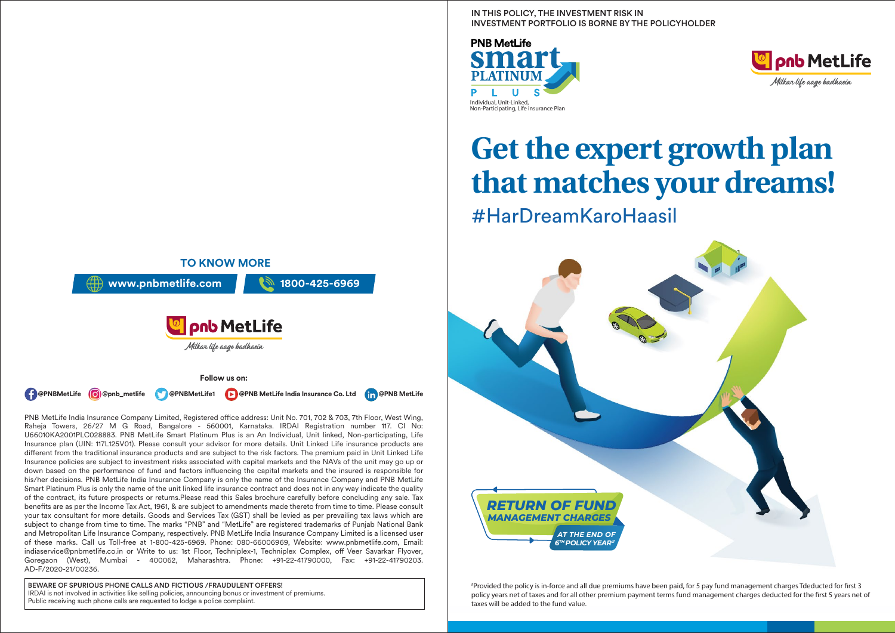IN THIS POLICY, THE INVESTMENT RISK IN INVESTMENT PORTFOLIO IS BORNE BY THE POLICYHOLDER





# **Get the expert growth plan that matches your dreams!** #HarDreamKaroHaasil



# Provided the policy is in-force and all due premiums have been paid, for 5 pay fund management charges Tdeducted for rst 3 policy years net of taxes and for all other premium payment terms fund management charges deducted for the first 5 years net of taxes will be added to the fund value.



Raheja Towers, 26/27 M G Road, Bangalore - 560001, Karnataka. IRDAI Registration number 117. CI No: U66010KA2001PLC028883. PNB MetLife Smart Platinum Plus is an An Individual, Unit linked, Non-participating, Life Insurance plan (UIN: 117L125V01). Please consult your advisor for more details. Unit Linked Life insurance products are different from the traditional insurance products and are subject to the risk factors. The premium paid in Unit Linked Life Insurance policies are subject to investment risks associated with capital markets and the NAVs of the unit may go up or down based on the performance of fund and factors influencing the capital markets and the insured is responsible for his/her decisions. PNB MetLife India Insurance Company is only the name of the Insurance Company and PNB MetLife Smart Platinum Plus is only the name of the unit linked life insurance contract and does not in any way indicate the quality of the contract, its future prospects or returns.Please read this Sales brochure carefully before concluding any sale. Tax benefits are as per the Income Tax Act, 1961, & are subject to amendments made thereto from time to time. Please consult your tax consultant for more details. Goods and Services Tax (GST) shall be levied as per prevailing tax laws which are subject to change from time to time. The marks "PNB" and "MetLife" are registered trademarks of Punjab National Bank and Metropolitan Life Insurance Company, respectively. PNB MetLife India Insurance Company Limited is a licensed user of these marks. Call us Toll-free at 1-800-425-6969. Phone: 080-66006969, Website: www.pnbmetlife.com, Email: indiaservice@pnbmetlife.co.in or Write to us: 1st Floor, Techniplex-1, Techniplex Complex, off Veer Savarkar Flyover, Goregaon (West), Mumbai - 400062, Maharashtra. Phone: +91-22-41790000, Fax: +91-22-41790203. AD-F/2020-21/00236.

BEWARE OF SPURIOUS PHONE CALLS AND FICTIOUS /FRAUDULENT OFFERS! IRDAI is not involved in activities like selling policies, announcing bonus or investment of premiums. Public receiving such phone calls are requested to lodge a police complaint.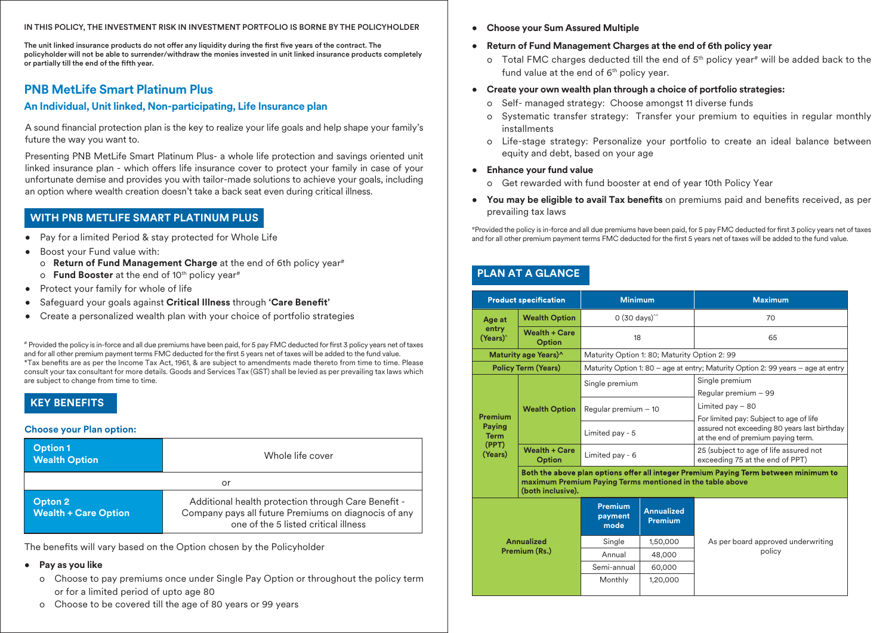#### IN THIS POLICY, THE INVESTMENT RISK IN INVESTMENT PORTFOLIO IS BORNE BY THE POLICYHOLDER

The unit linked insurance products do not offer any liquidity during the first five years of the contract. The policyholder will not be able to surrender/withdraw the monies invested in unit linked insurance products completely or partially till the end of the fifth year.

# **PNB MetLife Smart Platinum Plus**

## **An Individual, Unit linked, Non-participating, Life Insurance plan**

A sound financial protection plan is the key to realize your life goals and help shape your family's future the way you want to.

Presenting PNB MetLife Smart Platinum Plus- a whole life protection and savings oriented unit linked insurance plan - which offers life insurance cover to protect your family in case of your unfortunate demise and provides you with tailor-made solutions to achieve your goals, including an option where wealth creation doesn't take a back seat even during critical illness.

# **WITH PNB METLIFE SMART PLATINUM PLUS**

- Pay for a limited Period & stay protected for Whole Life
- Boost your Fund value with:
	- o **Return of Fund Management Charge** at the end of 6th policy year#
	- o **Fund Booster** at the end of 10<sup>th</sup> policy year<sup>#</sup>
- Protect your family for whole of life
- Safeguard your goals against **Critical Illness** through **'Care Benet'**
- Create a personalized wealth plan with your choice of portfolio strategies

# Provided the policy is in-force and all due premiums have been paid, for 5 pay FMC deducted for first 3 policy years net of taxes and for all other premium payment terms FMC deducted for the first 5 years net of taxes will be added to the fund value. \*Tax benefits are as per the Income Tax Act, 1961, & are subject to amendments made thereto from time to time. Please consult your tax consultant for more details. Goods and Services Tax (GST) shall be levied as per prevailing tax laws which are subject to change from time to time.

# **KEY BENEFITS**

#### **Choose your Plan option:**

| <b>Option 1</b><br><b>Wealth Option</b> | Whole life cover                                                                                                                                    |  |  |  |
|-----------------------------------------|-----------------------------------------------------------------------------------------------------------------------------------------------------|--|--|--|
|                                         | or                                                                                                                                                  |  |  |  |
| Opton 2<br><b>Wealth + Care Option</b>  | Additional health protection through Care Benefit -<br>Company pays all future Premiums on diagnocis of any<br>one of the 5 listed critical illness |  |  |  |

The benefits will vary based on the Option chosen by the Policyholder

#### • **Pay as you like**

- o Choose to pay premiums once under Single Pay Option or throughout the policy term or for a limited period of upto age 80
- o Choose to be covered till the age of 80 years or 99 years
- **Choose your Sum Assured Multiple**
- **Return of Fund Management Charges at the end of 6th policy year** 
	- o Total FMC charges deducted till the end of  $5<sup>th</sup>$  policy year<sup>#</sup> will be added back to the fund value at the end of  $6<sup>th</sup>$  policy year.
- **Create your own wealth plan through a choice of portfolio strategies:**
	- o Self- managed strategy: Choose amongst 11 diverse funds
	- o Systematic transfer strategy: Transfer your premium to equities in regular monthly installments
	- o Life-stage strategy: Personalize your portfolio to create an ideal balance between equity and debt, based on your age

#### • **Enhance your fund value**

- o Get rewarded with fund booster at end of year 10th Policy Year
- You may be eligible to avail Tax benefits on premiums paid and benefits received, as per prevailing tax laws

#Provided the policy is in-force and all due premiums have been paid, for 5 pay FMC deducted for first 3 policy years net of taxes and for all other premium payment terms FMC deducted for the first 5 years net of taxes will be added to the fund value.

# **PLAN AT A GLANCE**

| <b>Product specification</b> |                                                | <b>Minimum</b>                                            |                                     | <b>Maximum</b>                                                                          |  |
|------------------------------|------------------------------------------------|-----------------------------------------------------------|-------------------------------------|-----------------------------------------------------------------------------------------|--|
| Age at                       | <b>Wealth Option</b>                           | $0(30 \text{ days})^2$                                    |                                     | 70                                                                                      |  |
| (Years) <sup>^</sup>         | entry<br><b>Wealth + Care</b><br><b>Option</b> |                                                           | 18                                  | 65                                                                                      |  |
|                              | Maturity age Years)^                           | Maturity Option 1: 80; Maturity Option 2: 99              |                                     |                                                                                         |  |
|                              | <b>Policy Term (Years)</b>                     |                                                           |                                     | Maturity Option 1: 80 - age at entry; Maturity Option 2: 99 years - age at entry        |  |
|                              |                                                | Single premium                                            |                                     | Single premium                                                                          |  |
|                              |                                                |                                                           |                                     | Regular premium - 99                                                                    |  |
|                              | <b>Wealth Option</b>                           | Regular premium $-10$                                     |                                     | Limited pay $-80$                                                                       |  |
| Premium<br><b>Paying</b>     |                                                | Limited pay - 5                                           |                                     | For limited pay: Subject to age of life<br>assured not exceeding 80 years last birthday |  |
| <b>Term</b><br>(PPT)         |                                                |                                                           |                                     | at the end of premium paying term.                                                      |  |
| (Years)                      | <b>Wealth + Care</b><br><b>Option</b>          | Limited pay - 6                                           |                                     | 25 (subject to age of life assured not<br>exceeding 75 at the end of PPT)               |  |
| (both inclusive).            |                                                | maximum Premium Paying Terms mentioned in the table above |                                     | Both the above plan options offer all integer Premium Paying Term between minimum to    |  |
|                              |                                                | Premium<br>payment<br>mode                                | <b>Annualized</b><br><b>Premium</b> |                                                                                         |  |
|                              | <b>Annualized</b>                              | Single                                                    | 1,50,000                            | As per board approved underwriting                                                      |  |
|                              | Premium (Rs.)                                  | Annual                                                    | 48,000                              | policy                                                                                  |  |
|                              |                                                | Semi-annual                                               | 60,000                              |                                                                                         |  |
|                              |                                                | Monthly                                                   | 1,20,000                            |                                                                                         |  |
|                              |                                                |                                                           |                                     |                                                                                         |  |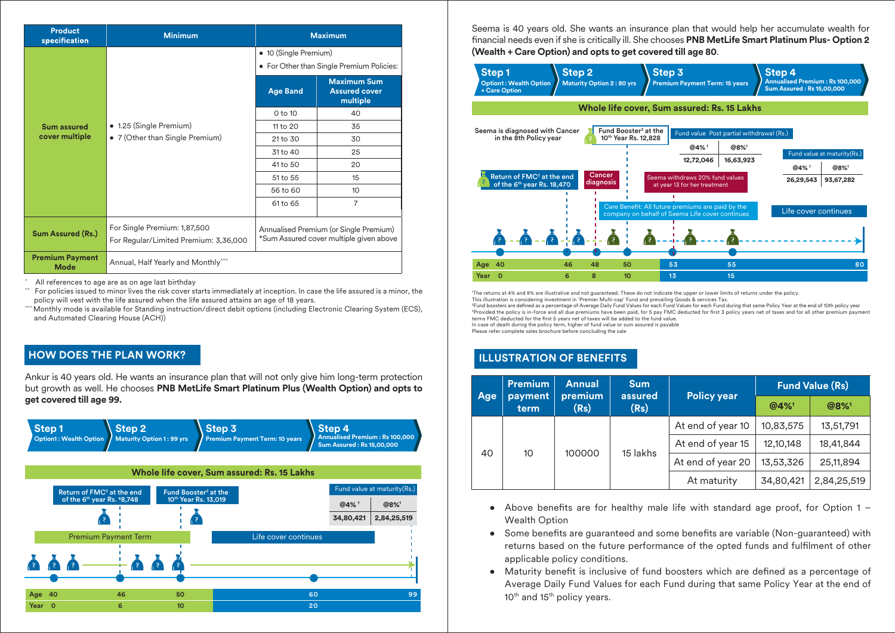| <b>Product</b><br>specification       | <b>Minimum</b>                                                                                                                                             | <b>Maximum</b>                                                     |                                                        |  |
|---------------------------------------|------------------------------------------------------------------------------------------------------------------------------------------------------------|--------------------------------------------------------------------|--------------------------------------------------------|--|
|                                       |                                                                                                                                                            | • 10 (Single Premium)<br>• For Other than Single Premium Policies: |                                                        |  |
|                                       |                                                                                                                                                            | <b>Age Band</b>                                                    | <b>Maximum Sum</b><br><b>Assured cover</b><br>multiple |  |
|                                       |                                                                                                                                                            | 0 to 10                                                            | 40                                                     |  |
| <b>Sum assured</b>                    | • 1.25 (Single Premium)<br>• 7 (Other than Single Premium)                                                                                                 | 11 to 20                                                           | 35                                                     |  |
| cover multiple                        |                                                                                                                                                            | 21 to 30                                                           | 30                                                     |  |
|                                       |                                                                                                                                                            | 31 to 40                                                           | 25                                                     |  |
|                                       |                                                                                                                                                            | 41 to 50                                                           | 20                                                     |  |
|                                       |                                                                                                                                                            | 51 to 55                                                           | 15                                                     |  |
|                                       |                                                                                                                                                            | 56 to 60                                                           | 10                                                     |  |
|                                       |                                                                                                                                                            | 61 to 65                                                           | $\overline{7}$                                         |  |
| <b>Sum Assured (Rs.)</b>              | For Single Premium: 1,87,500<br>Annualised Premium (or Single Premium)<br>*Sum Assured cover multiple given above<br>For Regular/Limited Premium: 3,36,000 |                                                                    |                                                        |  |
| <b>Premium Payment</b><br><b>Mode</b> | Annual, Half Yearly and Monthly <sup>444</sup>                                                                                                             |                                                                    |                                                        |  |

All references to age are as on age last birthday

For policies issued to minor lives the risk cover starts immediately at inception. In case the life assured is a minor, the policy will vest with the life assured when the life assured attains an age of 18 years.

^^^ Monthly mode is available for Standing instruction/direct debit options (including Electronic Clearing System (ECS), and Automated Clearing House (ACH))

# **HOW DOES THE PLAN WORK?**

Ankur is 40 years old. He wants an insurance plan that will not only give him long-term protection but growth as well. He chooses **PNB MetLife Smart Platinum Plus (Wealth Option) and opts to get covered till age 99.**



Seema is 40 years old. She wants an insurance plan that would help her accumulate wealth for financial needs even if she is critically ill. She chooses PNB MetLife Smart Platinum Plus- Option 2 **(Wealth + Care Option) and opts to get covered till age 80**.



1 The returns at 4% and 8% are illustrative and not guaranteed. These do not indicate the upper or lower limits of returns under the policy.

This illustration is considering investment in 'Premier Multi-cap' Fund and prevailing Goods & services Tax. <sup>2</sup>Fund boosters are defined as a percentage of Average Daily Fund Values for each Fund Values for each Fund during that same Policy Year at the end of 10th policy year <sup>3</sup>Provided the policy is in-force and all due premiums have been paid, for 5 pay FMC deducted for first 3 policy years net of taxes and for all other premium payment terms FMC deducted for the first 5 years net of taxes will be added to the fund value.

In case of death during the policy term, higher of fund value or sum assured is payable

Please refer complete sales brochure before concluding the sale

# **ILLUSTRATION OF BENEFITS**

|            | <b>Premium</b>  | <b>Annual</b>   | <b>Sum</b><br>assured | <b>Policy year</b> |           | <b>Fund Value (Rs)</b> |           |             |
|------------|-----------------|-----------------|-----------------------|--------------------|-----------|------------------------|-----------|-------------|
| <b>Age</b> | payment<br>term | premium<br>(Rs) | (Rs)                  |                    | @4%       | @8%1                   |           |             |
|            |                 |                 | 15 lakhs              |                    |           | At end of year 10      | 10,83,575 | 13,51,791   |
|            |                 |                 |                       |                    |           | At end of year 15      | 12,10,148 | 18,41,844   |
| 40         | 10              | 100000          |                       |                    |           | At end of year 20      | 13,53,326 | 25, 11, 894 |
|            |                 |                 |                       | At maturity        | 34,80,421 | 2,84,25,519            |           |             |

- Above benefits are for healthy male life with standard age proof, for Option  $1 -$ Wealth Option
- Some benefits are guaranteed and some benefits are variable (Non-guaranteed) with returns based on the future performance of the opted funds and fulfilment of other applicable policy conditions.
- Maturity benefit is inclusive of fund boosters which are defined as a percentage of Average Daily Fund Values for each Fund during that same Policy Year at the end of 10<sup>th</sup> and 15<sup>th</sup> policy years.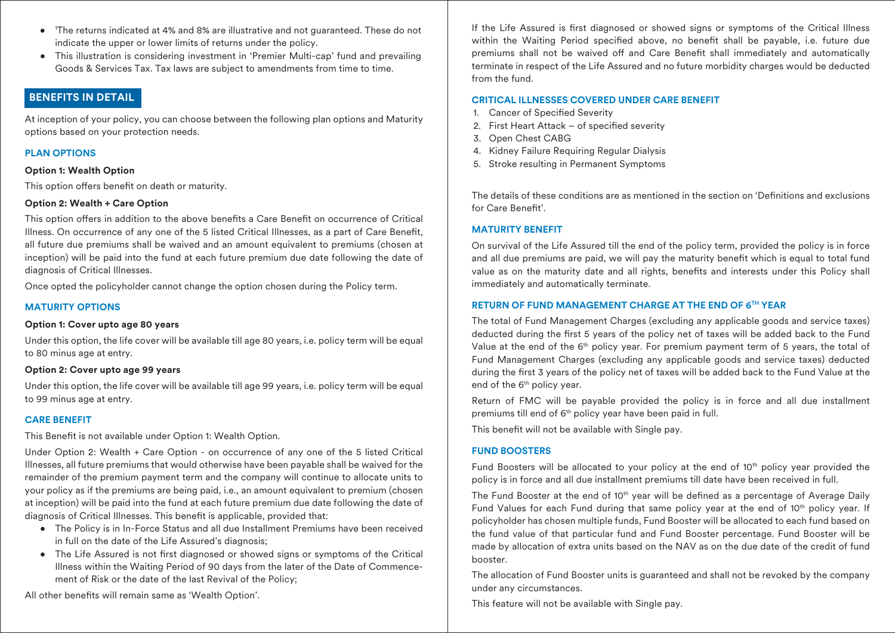- 1 The returns indicated at 4% and 8% are illustrative and not guaranteed. These do not indicate the upper or lower limits of returns under the policy.
- This illustration is considering investment in 'Premier Multi-cap' fund and prevailing Goods & Services Tax. Tax laws are subject to amendments from time to time.

# **BENEFITS IN DETAIL**

At inception of your policy, you can choose between the following plan options and Maturity options based on your protection needs.

# **PLAN OPTIONS**

#### **Option 1: Wealth Option**

This option offers benefit on death or maturity.

## **Option 2: Wealth + Care Option**

This option offers in addition to the above benefits a Care Benefit on occurrence of Critical Illness. On occurrence of any one of the 5 listed Critical Illnesses, as a part of Care Benet, all future due premiums shall be waived and an amount equivalent to premiums (chosen at inception) will be paid into the fund at each future premium due date following the date of diagnosis of Critical Illnesses.

Once opted the policyholder cannot change the option chosen during the Policy term.

# **MATURITY OPTIONS**

#### **Option 1: Cover upto age 80 years**

Under this option, the life cover will be available till age 80 years, i.e. policy term will be equal to 80 minus age at entry.

#### **Option 2: Cover upto age 99 years**

Under this option, the life cover will be available till age 99 years, i.e. policy term will be equal to 99 minus age at entry.

# **CARE BENEFIT**

This Benefit is not available under Option 1: Wealth Option.

Under Option 2: Wealth + Care Option - on occurrence of any one of the 5 listed Critical Illnesses, all future premiums that would otherwise have been payable shall be waived for the remainder of the premium payment term and the company will continue to allocate units to your policy as if the premiums are being paid, i.e., an amount equivalent to premium (chosen at inception) will be paid into the fund at each future premium due date following the date of diagnosis of Critical Illnesses. This benefit is applicable, provided that:

- The Policy is in In-Force Status and all due Installment Premiums have been received in full on the date of the Life Assured's diagnosis;
- The Life Assured is not first diagnosed or showed signs or symptoms of the Critical Illness within the Waiting Period of 90 days from the later of the Date of Commencement of Risk or the date of the last Revival of the Policy;

All other benefits will remain same as 'Wealth Option'.

If the Life Assured is first diagnosed or showed signs or symptoms of the Critical Illness within the Waiting Period specified above, no benefit shall be payable, i.e. future due premiums shall not be waived off and Care Benefit shall immediately and automatically terminate in respect of the Life Assured and no future morbidity charges would be deducted from the fund.

# **CRITICAL ILLNESSES COVERED UNDER CARE BENEFIT**

- 1. Cancer of Specified Severity
- 2. First Heart Attack of specified severity
- 3. Open Chest CABG
- 4. Kidney Failure Requiring Regular Dialysis
- 5. Stroke resulting in Permanent Symptoms

The details of these conditions are as mentioned in the section on 'Definitions and exclusions for Care Benefit'.

# **MATURITY BENEFIT**

On survival of the Life Assured till the end of the policy term, provided the policy is in force and all due premiums are paid, we will pay the maturity benefit which is equal to total fund value as on the maturity date and all rights, benefits and interests under this Policy shall immediately and automatically terminate.

# **RETURN OF FUND MANAGEMENT CHARGE AT THE END OF 6TH YEAR**

The total of Fund Management Charges (excluding any applicable goods and service taxes) deducted during the first 5 years of the policy net of taxes will be added back to the Fund Value at the end of the 6th policy year. For premium payment term of 5 years, the total of Fund Management Charges (excluding any applicable goods and service taxes) deducted during the first 3 years of the policy net of taxes will be added back to the Fund Value at the end of the 6<sup>th</sup> policy year.

Return of FMC will be payable provided the policy is in force and all due installment premiums till end of 6<sup>th</sup> policy year have been paid in full.

This benefit will not be available with Single pay.

# **FUND BOOSTERS**

Fund Boosters will be allocated to your policy at the end of  $10<sup>th</sup>$  policy year provided the policy is in force and all due installment premiums till date have been received in full.

The Fund Booster at the end of 10<sup>th</sup> year will be defined as a percentage of Average Daily Fund Values for each Fund during that same policy year at the end of  $10<sup>th</sup>$  policy year. If policyholder has chosen multiple funds, Fund Booster will be allocated to each fund based on the fund value of that particular fund and Fund Booster percentage. Fund Booster will be made by allocation of extra units based on the NAV as on the due date of the credit of fund booster.

The allocation of Fund Booster units is guaranteed and shall not be revoked by the company under any circumstances.

This feature will not be available with Single pay.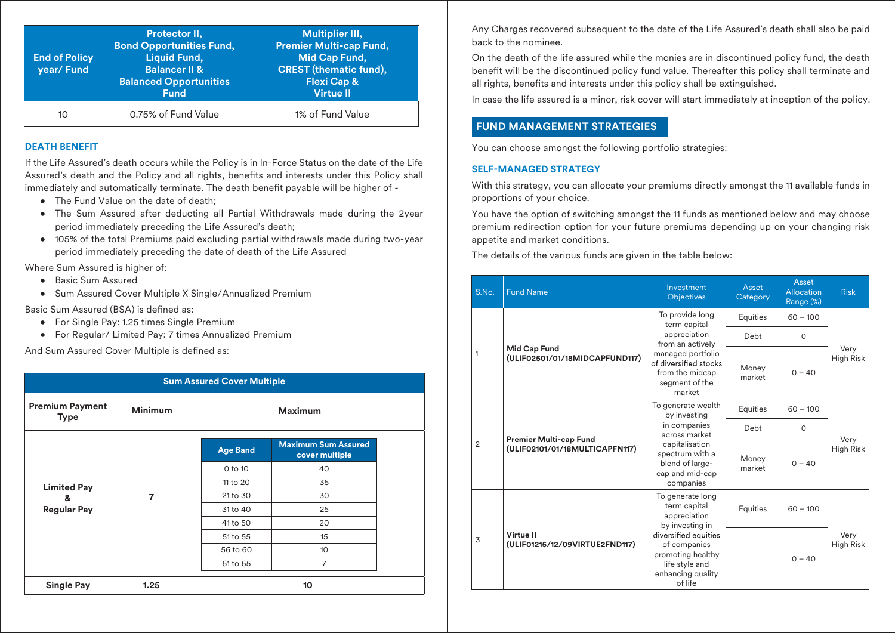| <b>End of Policy</b><br>year/Fund | Protector II,<br><b>Bond Opportunities Fund,</b><br><b>Liquid Fund,</b><br><b>Balancer II &amp;</b><br><b>Balanced Opportunities</b><br><b>Fund</b> | <b>Multiplier III.</b><br><b>Premier Multi-cap Fund,</b><br>Mid Cap Fund,<br><b>CREST</b> (thematic fund),<br><b>Flexi Cap &amp;</b><br><b>Virtue II</b> |
|-----------------------------------|-----------------------------------------------------------------------------------------------------------------------------------------------------|----------------------------------------------------------------------------------------------------------------------------------------------------------|
| 10                                | 0.75% of Fund Value                                                                                                                                 | 1% of Fund Value                                                                                                                                         |

# **DEATH BENEFIT**

If the Life Assured's death occurs while the Policy is in In-Force Status on the date of the Life Assured's death and the Policy and all rights, benefits and interests under this Policy shall immediately and automatically terminate. The death benefit payable will be higher of -

- The Fund Value on the date of death:
- The Sum Assured after deducting all Partial Withdrawals made during the 2year period immediately preceding the Life Assured's death;
- 105% of the total Premiums paid excluding partial withdrawals made during two-year period immediately preceding the date of death of the Life Assured

Where Sum Assured is higher of:

- Basic Sum Assured
- Sum Assured Cover Multiple X Single/Annualized Premium

Basic Sum Assured (BSA) is defined as:

- For Single Pay: 1.25 times Single Premium
- For Regular/ Limited Pay: 7 times Annualized Premium

And Sum Assured Cover Multiple is defined as:

| <b>Sum Assured Cover Multiple</b>     |                |                 |                                              |  |
|---------------------------------------|----------------|-----------------|----------------------------------------------|--|
| <b>Premium Payment</b><br><b>Type</b> | <b>Minimum</b> | <b>Maximum</b>  |                                              |  |
|                                       |                | <b>Age Band</b> | <b>Maximum Sum Assured</b><br>cover multiple |  |
|                                       | $\overline{7}$ | 0 to 10         | 40                                           |  |
| <b>Limited Pay</b>                    |                | 11 to 20        | 35                                           |  |
| &                                     |                | 21 to 30        | 30                                           |  |
| <b>Regular Pay</b>                    |                | 31 to 40        | 25                                           |  |
|                                       |                | 41 to 50        | 20                                           |  |
|                                       |                | 51 to 55        | 15                                           |  |
|                                       |                | 56 to 60        | 10 <sup>10</sup>                             |  |
|                                       |                | 61 to 65        | $\overline{7}$                               |  |
| <b>Single Pay</b>                     | 1.25           |                 | 10                                           |  |

Any Charges recovered subsequent to the date of the Life Assured's death shall also be paid back to the nominee.

On the death of the life assured while the monies are in discontinued policy fund, the death benefit will be the discontinued policy fund value. Thereafter this policy shall terminate and all rights, benefits and interests under this policy shall be extinguished.

In case the life assured is a minor, risk cover will start immediately at inception of the policy.

# **FUND MANAGEMENT STRATEGIES**

You can choose amongst the following portfolio strategies:

# **SELF-MANAGED STRATEGY**

With this strategy, you can allocate your premiums directly amongst the 11 available funds in proportions of your choice.

You have the option of switching amongst the 11 funds as mentioned below and may choose premium redirection option for your future premiums depending up on your changing risk appetite and market conditions.

The details of the various funds are given in the table below:

| S.No. | <b>Fund Name</b>                                                                  | Investment<br><b>Objectives</b>                                                                                                                             | Asset<br>Category | Asset<br>Allocation<br>Range (%) | <b>Risk</b>              |
|-------|-----------------------------------------------------------------------------------|-------------------------------------------------------------------------------------------------------------------------------------------------------------|-------------------|----------------------------------|--------------------------|
|       |                                                                                   | To provide long<br>term capital                                                                                                                             | Equities          | $60 - 100$                       |                          |
|       |                                                                                   | appreciation<br>from an actively                                                                                                                            | Debt              | $\Omega$                         |                          |
| 1     | <b>Mid Cap Fund</b><br>(ULIF02501/01/18MIDCAPFUND117)                             | managed portfolio<br>of diversified stocks<br>from the midcap<br>segment of the<br>market                                                                   | Money<br>market   | $0 - 40$                         | Very<br><b>High Risk</b> |
|       | <b>Premier Multi-cap Fund</b><br>$\overline{2}$<br>(ULIF02101/01/18MULTICAPFN117) | To generate wealth<br>by investing<br>in companies<br>across market<br>capitalisation<br>spectrum with a<br>blend of large-<br>cap and mid-cap<br>companies | Equities          | $60 - 100$                       | Very<br>High Risk        |
|       |                                                                                   |                                                                                                                                                             | Debt              | $\circ$                          |                          |
|       |                                                                                   |                                                                                                                                                             | Money<br>market   | $0 - 40$                         |                          |
|       |                                                                                   | To generate long<br>term capital<br>appreciation<br>by investing in                                                                                         | Equities          | $60 - 100$                       |                          |
| 3     | Virtue II<br>(ULIF01215/12/09VIRTUE2FND117)                                       | diversified equities<br>of companies<br>promoting healthy<br>life style and<br>enhancing quality<br>of life                                                 |                   | $0 - 40$                         | Very<br>High Risk        |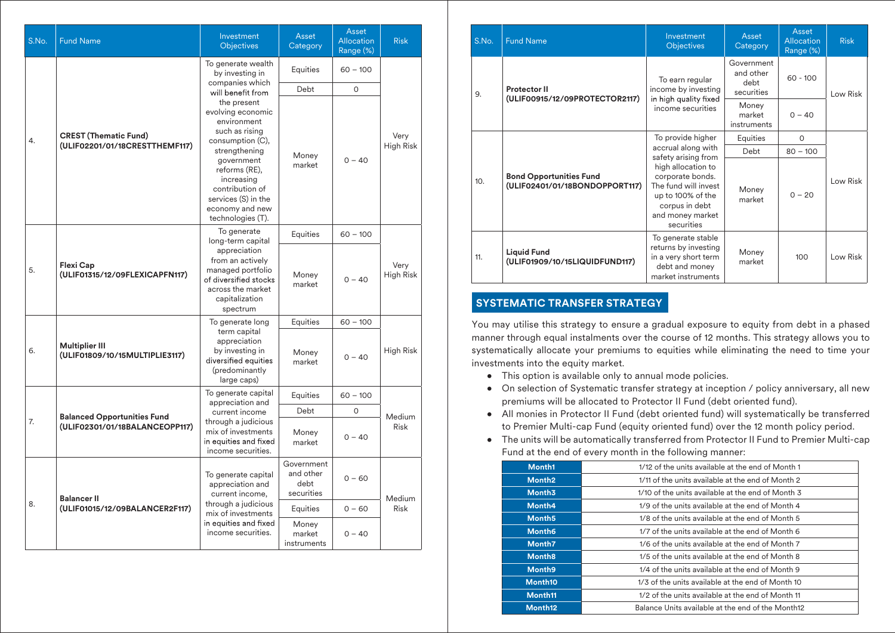| S.No.                                                                | <b>Fund Name</b>                                        | Investment<br><b>Objectives</b>                                                                                                                                                                                                       | Asset<br>Category                             | Asset<br>Allocation<br>Range (%) | <b>Risk</b>              |
|----------------------------------------------------------------------|---------------------------------------------------------|---------------------------------------------------------------------------------------------------------------------------------------------------------------------------------------------------------------------------------------|-----------------------------------------------|----------------------------------|--------------------------|
|                                                                      |                                                         | To generate wealth<br>by investing in                                                                                                                                                                                                 | Equities                                      | $60 - 100$                       |                          |
|                                                                      |                                                         | companies which<br>will benefit from                                                                                                                                                                                                  | Debt                                          | $\Omega$                         |                          |
| <b>CREST (Thematic Fund)</b><br>4.<br>(ULIF02201/01/18CRESTTHEMF117) |                                                         | the present<br>evolving economic<br>environment<br>such as rising<br>consumption (C),<br>strengthening<br>government<br>reforms (RE),<br>increasing<br>contribution of<br>services (S) in the<br>economy and new<br>technologies (T). | Money<br>market                               | $0 - 40$                         | Very<br><b>High Risk</b> |
|                                                                      |                                                         | To generate                                                                                                                                                                                                                           | Equities                                      | $60 - 100$                       |                          |
| 5.                                                                   | Flexi Cap<br>(ULIF01315/12/09FLEXICAPFN117)             | long-term capital<br>appreciation<br>from an actively<br>managed portfolio<br>of diversified stocks<br>across the market<br>capitalization<br>spectrum                                                                                | Money<br>market                               | $0 - 40$                         | Very<br><b>High Risk</b> |
|                                                                      |                                                         | To generate long                                                                                                                                                                                                                      | Equities                                      | $60 - 100$                       |                          |
| 6.                                                                   | <b>Multiplier III</b><br>(ULIF01809/10/15MULTIPLIE3117) | term capital<br>appreciation<br>by investing in<br>diversified equities<br>(predominantly<br>large caps)                                                                                                                              | Money<br>market                               | $0 - 40$                         | High Risk                |
|                                                                      |                                                         | To generate capital<br>appreciation and                                                                                                                                                                                               | Equities                                      | $60 - 100$                       |                          |
|                                                                      | <b>Balanced Opportunities Fund</b>                      | current income                                                                                                                                                                                                                        | Debt                                          | $\Omega$                         | <b>Medium</b>            |
| 7.                                                                   | (ULIF02301/01/18BALANCEOPP117)                          | through a judicious<br>mix of investments<br>in equities and fixed<br>income securities.                                                                                                                                              | Money<br>market                               | $0 - 40$                         | <b>Risk</b>              |
|                                                                      | <b>Balancer II</b>                                      | To generate capital<br>appreciation and<br>current income,                                                                                                                                                                            | Government<br>and other<br>debt<br>securities | $0 - 60$                         |                          |
| 8.                                                                   | (ULIF01015/12/09BALANCER2F117)                          | through a judicious<br>mix of investments                                                                                                                                                                                             | Equities                                      | $0 - 60$                         | Medium<br><b>Risk</b>    |
|                                                                      |                                                         | in equities and fixed<br>income securities.                                                                                                                                                                                           | Money<br>market<br>instruments                | $0 - 40$                         |                          |

| <b>Risk</b>     |  |                                           | S.No.                                                 | <b>Fund Name</b>                                                 | Investment<br><b>Objectives</b>                                                                                                         | Asset<br>Category              | Asset<br>Allocation<br>Range (%) | <b>Risk</b> |
|-----------------|--|-------------------------------------------|-------------------------------------------------------|------------------------------------------------------------------|-----------------------------------------------------------------------------------------------------------------------------------------|--------------------------------|----------------------------------|-------------|
|                 |  | 9.                                        | <b>Protector II</b><br>(ULIF00915/12/09PROTECTOR2117) | To earn regular<br>income by investing<br>in high quality fixed  | Government<br>and other<br>debt<br>securities                                                                                           | $60 - 100$                     | Low Risk                         |             |
|                 |  |                                           |                                                       |                                                                  | income securities                                                                                                                       | Money<br>market<br>instruments | $0 - 40$                         |             |
| Very            |  |                                           |                                                       |                                                                  | To provide higher                                                                                                                       | Equities                       | 0                                |             |
| ah Risk         |  | accrual along with<br>safety arising from | Debt                                                  | $80 - 100$                                                       |                                                                                                                                         |                                |                                  |             |
|                 |  |                                           | 10.                                                   | <b>Bond Opportunities Fund</b><br>(ULIF02401/01/18BONDOPPORT117) | high allocation to<br>corporate bonds.<br>The fund will invest<br>up to 100% of the<br>corpus in debt<br>and money market<br>securities | Money<br>market                | $0 - 20$                         | Low Risk    |
| Very<br>ah Risk |  |                                           | 11.                                                   | <b>Liquid Fund</b><br>(ULIF01909/10/15LIQUIDFUND117)             | To generate stable<br>returns by investing<br>in a very short term<br>debt and money<br>market instruments                              | Money<br>market                | 100                              | Low Risk    |

# **SYSTEMATIC TRANSFER STRATEGY**

You may utilise this strategy to ensure a gradual exposure to equity from debt in a phased manner through equal instalments over the course of 12 months. This strategy allows you to systematically allocate your premiums to equities while eliminating the need to time your investments into the equity market.

- This option is available only to annual mode policies.
- On selection of Systematic transfer strategy at inception / policy anniversary, all new premiums will be allocated to Protector II Fund (debt oriented fund).
- All monies in Protector II Fund (debt oriented fund) will systematically be transferred to Premier Multi-cap Fund (equity oriented fund) over the 12 month policy period.
- The units will be automatically transferred from Protector II Fund to Premier Multi-cap Fund at the end of every month in the following manner:

| Month1              | 1/12 of the units available at the end of Month 1 |  |  |
|---------------------|---------------------------------------------------|--|--|
| Month <sub>2</sub>  | 1/11 of the units available at the end of Month 2 |  |  |
| Month <sub>3</sub>  | 1/10 of the units available at the end of Month 3 |  |  |
| Month4              | 1/9 of the units available at the end of Month 4  |  |  |
| Month <sub>5</sub>  | 1/8 of the units available at the end of Month 5  |  |  |
| Month <sub>6</sub>  | 1/7 of the units available at the end of Month 6  |  |  |
| Month7              | 1/6 of the units available at the end of Month 7  |  |  |
| Month <sub>8</sub>  | 1/5 of the units available at the end of Month 8  |  |  |
| Month <sub>9</sub>  | 1/4 of the units available at the end of Month 9  |  |  |
| Month <sub>10</sub> | 1/3 of the units available at the end of Month 10 |  |  |
| Month <sub>11</sub> | 1/2 of the units available at the end of Month 11 |  |  |
| Month <sub>12</sub> | Balance Units available at the end of the Month12 |  |  |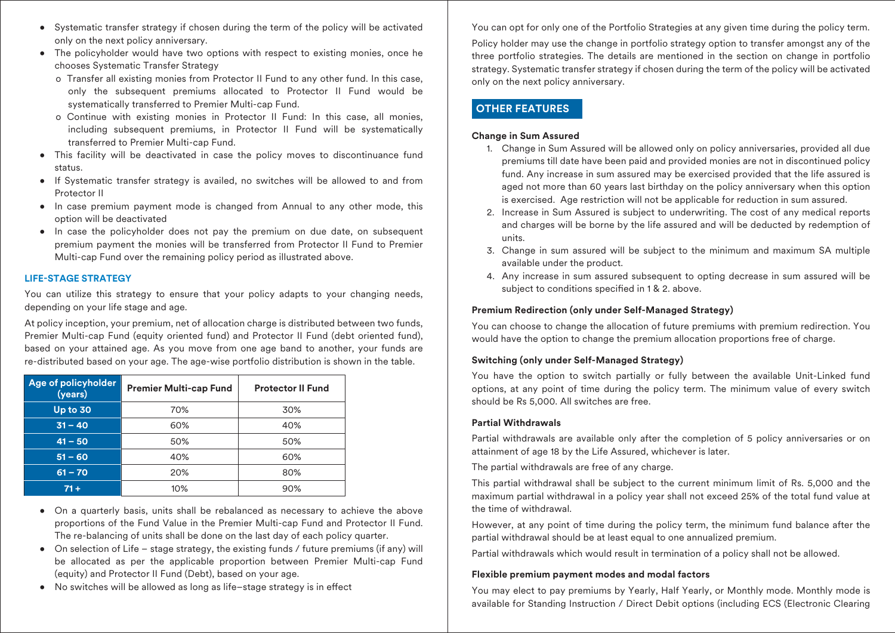- Systematic transfer strategy if chosen during the term of the policy will be activated only on the next policy anniversary.
- The policyholder would have two options with respect to existing monies, once he chooses Systematic Transfer Strategy
	- o Transfer all existing monies from Protector II Fund to any other fund. In this case, only the subsequent premiums allocated to Protector II Fund would be systematically transferred to Premier Multi-cap Fund.
	- o Continue with existing monies in Protector II Fund: In this case, all monies, including subsequent premiums, in Protector II Fund will be systematically transferred to Premier Multi-cap Fund.
- This facility will be deactivated in case the policy moves to discontinuance fund status.
- If Systematic transfer strategy is availed, no switches will be allowed to and from Protector II
- In case premium payment mode is changed from Annual to any other mode, this option will be deactivated
- In case the policyholder does not pay the premium on due date, on subsequent premium payment the monies will be transferred from Protector II Fund to Premier Multi-cap Fund over the remaining policy period as illustrated above.

#### **LIFE-STAGE STRATEGY**

You can utilize this strategy to ensure that your policy adapts to your changing needs, depending on your life stage and age.

At policy inception, your premium, net of allocation charge is distributed between two funds, Premier Multi-cap Fund (equity oriented fund) and Protector II Fund (debt oriented fund), based on your attained age. As you move from one age band to another, your funds are re-distributed based on your age. The age-wise portfolio distribution is shown in the table.

| Age of policyholder<br>(years) | <b>Premier Multi-cap Fund</b> | <b>Protector II Fund</b> |
|--------------------------------|-------------------------------|--------------------------|
| Up to 30                       | 70%                           | 30%                      |
| $31 - 40$                      | 60%                           | 40%                      |
| $41 - 50$                      | 50%                           | 50%                      |
| $51 - 60$                      | 40%                           | 60%                      |
| $61 - 70$                      | 20%                           | 80%                      |
| $71 +$                         | 10%                           | 90%                      |

- On a quarterly basis, units shall be rebalanced as necessary to achieve the above proportions of the Fund Value in the Premier Multi-cap Fund and Protector II Fund. The re-balancing of units shall be done on the last day of each policy quarter.
- On selection of Life stage strategy, the existing funds / future premiums (if any) will be allocated as per the applicable proportion between Premier Multi-cap Fund (equity) and Protector II Fund (Debt), based on your age.
- No switches will be allowed as long as life-stage strategy is in effect

You can opt for only one of the Portfolio Strategies at any given time during the policy term.

Policy holder may use the change in portfolio strategy option to transfer amongst any of the three portfolio strategies. The details are mentioned in the section on change in portfolio strategy. Systematic transfer strategy if chosen during the term of the policy will be activated only on the next policy anniversary.

# **OTHER FEATURES**

#### **Change in Sum Assured**

- 1. Change in Sum Assured will be allowed only on policy anniversaries, provided all due premiums till date have been paid and provided monies are not in discontinued policy fund. Any increase in sum assured may be exercised provided that the life assured is aged not more than 60 years last birthday on the policy anniversary when this option is exercised. Age restriction will not be applicable for reduction in sum assured.
- 2. Increase in Sum Assured is subject to underwriting. The cost of any medical reports and charges will be borne by the life assured and will be deducted by redemption of units.
- 3. Change in sum assured will be subject to the minimum and maximum SA multiple available under the product.
- 4. Any increase in sum assured subsequent to opting decrease in sum assured will be subject to conditions specified in 1 & 2. above.

#### **Premium Redirection (only under Self-Managed Strategy)**

You can choose to change the allocation of future premiums with premium redirection. You would have the option to change the premium allocation proportions free of charge.

#### **Switching (only under Self-Managed Strategy)**

You have the option to switch partially or fully between the available Unit-Linked fund options, at any point of time during the policy term. The minimum value of every switch should be Rs 5,000. All switches are free.

#### **Partial Withdrawals**

Partial withdrawals are available only after the completion of 5 policy anniversaries or on attainment of age 18 by the Life Assured, whichever is later.

The partial withdrawals are free of any charge.

This partial withdrawal shall be subject to the current minimum limit of Rs. 5,000 and the maximum partial withdrawal in a policy year shall not exceed 25% of the total fund value at the time of withdrawal.

However, at any point of time during the policy term, the minimum fund balance after the partial withdrawal should be at least equal to one annualized premium.

Partial withdrawals which would result in termination of a policy shall not be allowed.

#### **Flexible premium payment modes and modal factors**

You may elect to pay premiums by Yearly, Half Yearly, or Monthly mode. Monthly mode is available for Standing Instruction / Direct Debit options (including ECS (Electronic Clearing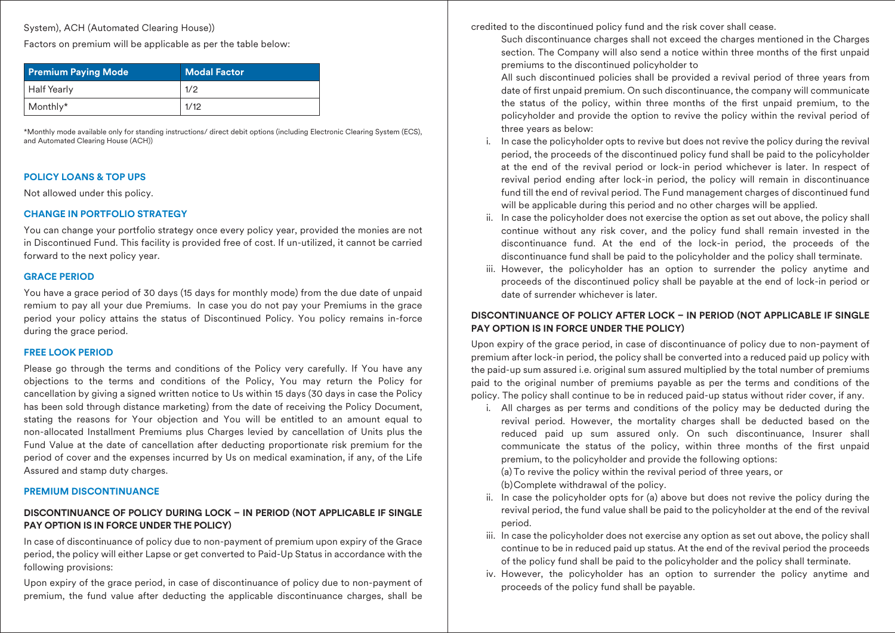System), ACH (Automated Clearing House))

Factors on premium will be applicable as per the table below:

| <b>Premium Paying Mode</b> | <b>Modal Factor</b> |
|----------------------------|---------------------|
| Half Yearly                | 1/2                 |
| $\vert$ Monthly*           | 1/12                |

\*Monthly mode available only for standing instructions/ direct debit options (including Electronic Clearing System (ECS), and Automated Clearing House (ACH))

# **POLICY LOANS & TOP UPS**

Not allowed under this policy.

# **CHANGE IN PORTFOLIO STRATEGY**

You can change your portfolio strategy once every policy year, provided the monies are not in Discontinued Fund. This facility is provided free of cost. If un-utilized, it cannot be carried forward to the next policy year.

## **GRACE PERIOD**

You have a grace period of 30 days (15 days for monthly mode) from the due date of unpaid remium to pay all your due Premiums. In case you do not pay your Premiums in the grace period your policy attains the status of Discontinued Policy. You policy remains in-force during the grace period.

#### **FREE LOOK PERIOD**

Please go through the terms and conditions of the Policy very carefully. If You have any objections to the terms and conditions of the Policy, You may return the Policy for cancellation by giving a signed written notice to Us within 15 days (30 days in case the Policy has been sold through distance marketing) from the date of receiving the Policy Document, stating the reasons for Your objection and You will be entitled to an amount equal to non-allocated Installment Premiums plus Charges levied by cancellation of Units plus the Fund Value at the date of cancellation after deducting proportionate risk premium for the period of cover and the expenses incurred by Us on medical examination, if any, of the Life Assured and stamp duty charges.

# **PREMIUM DISCONTINUANCE**

# **DISCONTINUANCE OF POLICY DURING LOCK – IN PERIOD (NOT APPLICABLE IF SINGLE PAY OPTION IS IN FORCE UNDER THE POLICY)**

In case of discontinuance of policy due to non-payment of premium upon expiry of the Grace period, the policy will either Lapse or get converted to Paid-Up Status in accordance with the following provisions:

Upon expiry of the grace period, in case of discontinuance of policy due to non-payment of premium, the fund value after deducting the applicable discontinuance charges, shall be

credited to the discontinued policy fund and the risk cover shall cease.

 Such discontinuance charges shall not exceed the charges mentioned in the Charges section. The Company will also send a notice within three months of the first unpaid premiums to the discontinued policyholder to

 All such discontinued policies shall be provided a revival period of three years from date of first unpaid premium. On such discontinuance, the company will communicate the status of the policy, within three months of the first unpaid premium, to the policyholder and provide the option to revive the policy within the revival period of three years as below:

- i. In case the policyholder opts to revive but does not revive the policy during the revival period, the proceeds of the discontinued policy fund shall be paid to the policyholder at the end of the revival period or lock-in period whichever is later. In respect of revival period ending after lock-in period, the policy will remain in discontinuance fund till the end of revival period. The Fund management charges of discontinued fund will be applicable during this period and no other charges will be applied.
- ii. In case the policyholder does not exercise the option as set out above, the policy shall continue without any risk cover, and the policy fund shall remain invested in the discontinuance fund. At the end of the lock-in period, the proceeds of the discontinuance fund shall be paid to the policyholder and the policy shall terminate.
- iii. However, the policyholder has an option to surrender the policy anytime and proceeds of the discontinued policy shall be payable at the end of lock-in period or date of surrender whichever is later.

# **DISCONTINUANCE OF POLICY AFTER LOCK – IN PERIOD (NOT APPLICABLE IF SINGLE PAY OPTION IS IN FORCE UNDER THE POLICY)**

Upon expiry of the grace period, in case of discontinuance of policy due to non-payment of premium after lock-in period, the policy shall be converted into a reduced paid up policy with the paid-up sum assured i.e. original sum assured multiplied by the total number of premiums paid to the original number of premiums payable as per the terms and conditions of the policy. The policy shall continue to be in reduced paid-up status without rider cover, if any.

i. All charges as per terms and conditions of the policy may be deducted during the revival period. However, the mortality charges shall be deducted based on the reduced paid up sum assured only. On such discontinuance, Insurer shall communicate the status of the policy, within three months of the first unpaid premium, to the policyholder and provide the following options:

 (a) To revive the policy within the revival period of three years, or (b) Complete withdrawal of the policy.

- ii. In case the policyholder opts for (a) above but does not revive the policy during the revival period, the fund value shall be paid to the policyholder at the end of the revival period.
- iii. In case the policyholder does not exercise any option as set out above, the policy shall continue to be in reduced paid up status. At the end of the revival period the proceeds of the policy fund shall be paid to the policyholder and the policy shall terminate.
- iv. However, the policyholder has an option to surrender the policy anytime and proceeds of the policy fund shall be payable.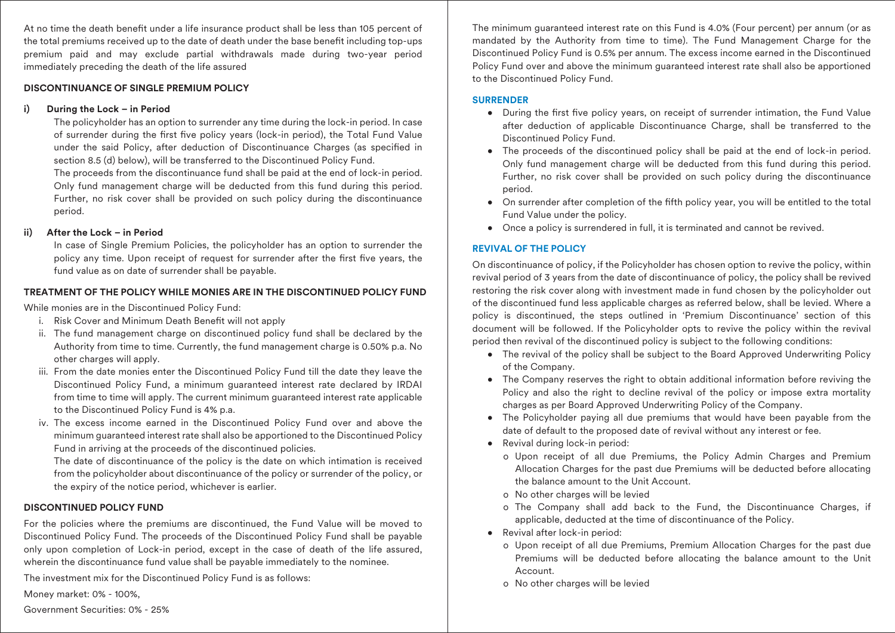At no time the death benefit under a life insurance product shall be less than 105 percent of the total premiums received up to the date of death under the base benefit including top-ups premium paid and may exclude partial withdrawals made during two-year period immediately preceding the death of the life assured

#### **DISCONTINUANCE OF SINGLE PREMIUM POLICY**

#### **i) During the Lock – in Period**

 The policyholder has an option to surrender any time during the lock-in period. In case of surrender during the first five policy years (lock-in period), the Total Fund Value under the said Policy, after deduction of Discontinuance Charges (as specified in section 8.5 (d) below), will be transferred to the Discontinued Policy Fund.

 The proceeds from the discontinuance fund shall be paid at the end of lock-in period. Only fund management charge will be deducted from this fund during this period. Further, no risk cover shall be provided on such policy during the discontinuance period.

#### **ii) After the Lock – in Period**

 In case of Single Premium Policies, the policyholder has an option to surrender the policy any time. Upon receipt of request for surrender after the first five years, the fund value as on date of surrender shall be payable.

#### **TREATMENT OF THE POLICY WHILE MONIES ARE IN THE DISCONTINUED POLICY FUND**

While monies are in the Discontinued Policy Fund:

- i. Risk Cover and Minimum Death Benefit will not apply
- ii. The fund management charge on discontinued policy fund shall be declared by the Authority from time to time. Currently, the fund management charge is 0.50% p.a. No other charges will apply.
- iii. From the date monies enter the Discontinued Policy Fund till the date they leave the Discontinued Policy Fund, a minimum guaranteed interest rate declared by IRDAI from time to time will apply. The current minimum guaranteed interest rate applicable to the Discontinued Policy Fund is 4% p.a.
- iv. The excess income earned in the Discontinued Policy Fund over and above the minimum guaranteed interest rate shall also be apportioned to the Discontinued Policy Fund in arriving at the proceeds of the discontinued policies.

 The date of discontinuance of the policy is the date on which intimation is received from the policyholder about discontinuance of the policy or surrender of the policy, or the expiry of the notice period, whichever is earlier.

#### **DISCONTINUED POLICY FUND**

For the policies where the premiums are discontinued, the Fund Value will be moved to Discontinued Policy Fund. The proceeds of the Discontinued Policy Fund shall be payable only upon completion of Lock-in period, except in the case of death of the life assured, wherein the discontinuance fund value shall be payable immediately to the nominee.

The investment mix for the Discontinued Policy Fund is as follows:

Money market: 0% - 100%,

Government Securities: 0% - 25%

The minimum guaranteed interest rate on this Fund is 4.0% (Four percent) per annum (or as mandated by the Authority from time to time). The Fund Management Charge for the Discontinued Policy Fund is 0.5% per annum. The excess income earned in the Discontinued Policy Fund over and above the minimum guaranteed interest rate shall also be apportioned to the Discontinued Policy Fund.

#### **SURRENDER**

- During the first five policy years, on receipt of surrender intimation, the Fund Value after deduction of applicable Discontinuance Charge, shall be transferred to the Discontinued Policy Fund.
- The proceeds of the discontinued policy shall be paid at the end of lock-in period. Only fund management charge will be deducted from this fund during this period. Further, no risk cover shall be provided on such policy during the discontinuance period.
- On surrender after completion of the fifth policy year, you will be entitled to the total Fund Value under the policy.
- Once a policy is surrendered in full, it is terminated and cannot be revived.

## **REVIVAL OF THE POLICY**

On discontinuance of policy, if the Policyholder has chosen option to revive the policy, within revival period of 3 years from the date of discontinuance of policy, the policy shall be revived restoring the risk cover along with investment made in fund chosen by the policyholder out of the discontinued fund less applicable charges as referred below, shall be levied. Where a policy is discontinued, the steps outlined in 'Premium Discontinuance' section of this document will be followed. If the Policyholder opts to revive the policy within the revival period then revival of the discontinued policy is subject to the following conditions:

- The revival of the policy shall be subject to the Board Approved Underwriting Policy of the Company.
- The Company reserves the right to obtain additional information before reviving the Policy and also the right to decline revival of the policy or impose extra mortality charges as per Board Approved Underwriting Policy of the Company.
- The Policyholder paying all due premiums that would have been payable from the date of default to the proposed date of revival without any interest or fee.
- Revival during lock-in period:
	- o Upon receipt of all due Premiums, the Policy Admin Charges and Premium Allocation Charges for the past due Premiums will be deducted before allocating the balance amount to the Unit Account.
	- o No other charges will be levied
	- o The Company shall add back to the Fund, the Discontinuance Charges, if applicable, deducted at the time of discontinuance of the Policy.
- Revival after lock-in period:
	- o Upon receipt of all due Premiums, Premium Allocation Charges for the past due Premiums will be deducted before allocating the balance amount to the Unit Account.
	- o No other charges will be levied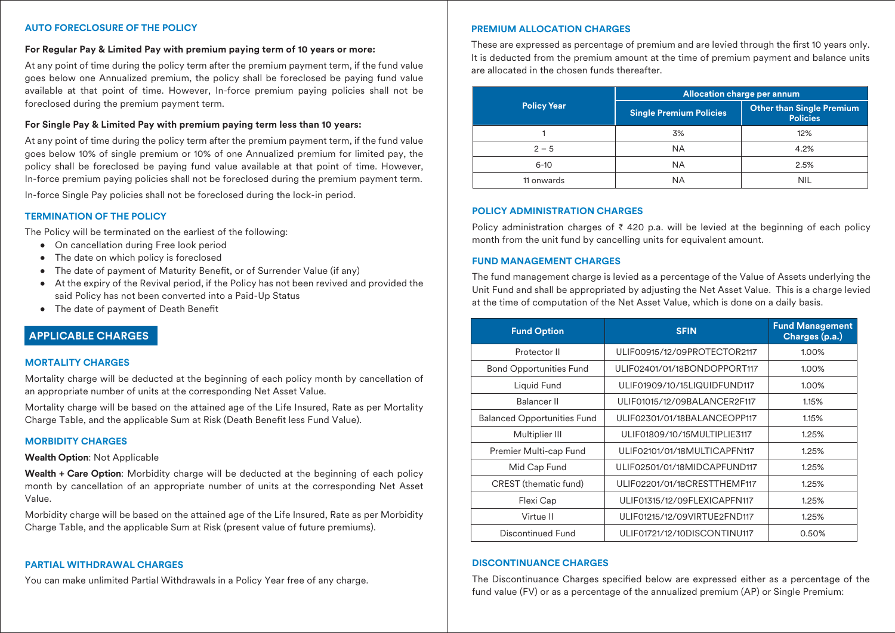#### **AUTO FORECLOSURE OF THE POLICY**

#### **For Regular Pay & Limited Pay with premium paying term of 10 years or more:**

At any point of time during the policy term after the premium payment term, if the fund value goes below one Annualized premium, the policy shall be foreclosed be paying fund value available at that point of time. However, In-force premium paying policies shall not be foreclosed during the premium payment term.

#### **For Single Pay & Limited Pay with premium paying term less than 10 years:**

At any point of time during the policy term after the premium payment term, if the fund value goes below 10% of single premium or 10% of one Annualized premium for limited pay, the policy shall be foreclosed be paying fund value available at that point of time. However, In-force premium paying policies shall not be foreclosed during the premium payment term.

In-force Single Pay policies shall not be foreclosed during the lock-in period.

#### **TERMINATION OF THE POLICY**

The Policy will be terminated on the earliest of the following:

- On cancellation during Free look period
- The date on which policy is foreclosed
- The date of payment of Maturity Benefit, or of Surrender Value (if any)
- At the expiry of the Revival period, if the Policy has not been revived and provided the said Policy has not been converted into a Paid-Up Status
- The date of payment of Death Benefit

# **APPLICABLE CHARGES**

#### **MORTALITY CHARGES**

Mortality charge will be deducted at the beginning of each policy month by cancellation of an appropriate number of units at the corresponding Net Asset Value.

Mortality charge will be based on the attained age of the Life Insured, Rate as per Mortality Charge Table, and the applicable Sum at Risk (Death Benefit less Fund Value).

#### **MORBIDITY CHARGES**

#### **Wealth Option**: Not Applicable

**Wealth + Care Option**: Morbidity charge will be deducted at the beginning of each policy month by cancellation of an appropriate number of units at the corresponding Net Asset Value.

Morbidity charge will be based on the attained age of the Life Insured, Rate as per Morbidity Charge Table, and the applicable Sum at Risk (present value of future premiums).

#### **PARTIAL WITHDRAWAL CHARGES**

You can make unlimited Partial Withdrawals in a Policy Year free of any charge.

#### **PREMIUM ALLOCATION CHARGES**

These are expressed as percentage of premium and are levied through the first 10 years only. It is deducted from the premium amount at the time of premium payment and balance units are allocated in the chosen funds thereafter.

|                    | Allocation charge per annum    |                                                     |
|--------------------|--------------------------------|-----------------------------------------------------|
| <b>Policy Year</b> | <b>Single Premium Policies</b> | <b>Other than Single Premium</b><br><b>Policies</b> |
|                    | 3%                             | 12%                                                 |
| $2 - 5$            | <b>NA</b>                      | 4.2%                                                |
| $6 - 10$           | <b>NA</b>                      | 2.5%                                                |
| 11 onwards         | <b>NA</b>                      | <b>NIL</b>                                          |

#### **POLICY ADMINISTRATION CHARGES**

Policy administration charges of ₹ 420 p.a. will be levied at the beginning of each policy month from the unit fund by cancelling units for equivalent amount.

#### **FUND MANAGEMENT CHARGES**

The fund management charge is levied as a percentage of the Value of Assets underlying the Unit Fund and shall be appropriated by adjusting the Net Asset Value. This is a charge levied at the time of computation of the Net Asset Value, which is done on a daily basis.

| <b>Fund Option</b>                 | <b>SFIN</b>                  | <b>Fund Management</b><br>Charges (p.a.) |
|------------------------------------|------------------------------|------------------------------------------|
| Protector II                       | ULIF00915/12/09PROTECTOR2117 | 1.00%                                    |
| <b>Bond Opportunities Fund</b>     | ULIF02401/01/18BONDOPPORT117 | 1.00%                                    |
| Liquid Fund                        | ULIF01909/10/15LIQUIDFUND117 | 1.00%                                    |
| Balancer II                        | ULIF01015/12/09BALANCER2F117 | 1.15%                                    |
| <b>Balanced Opportunities Fund</b> | ULIF02301/01/18BALANCEOPP117 | 1.15%                                    |
| Multiplier III                     | ULIF01809/10/15MULTIPLIE3117 | 1.25%                                    |
| Premier Multi-cap Fund             | ULIF02101/01/18MULTICAPFN117 | 1.25%                                    |
| Mid Cap Fund                       | ULIF02501/01/18MIDCAPFUND117 | 1.25%                                    |
| CREST (thematic fund)              | ULIF02201/01/18CRESTTHEMF117 | 1.25%                                    |
| Flexi Cap                          | ULIF01315/12/09FLEXICAPFN117 | 1.25%                                    |
| Virtue II                          | ULIF01215/12/09VIRTUE2FND117 | 1.25%                                    |
| Discontinued Fund                  | ULIF01721/12/10DISCONTINU117 | 0.50%                                    |

#### **DISCONTINUANCE CHARGES**

The Discontinuance Charges specified below are expressed either as a percentage of the fund value (FV) or as a percentage of the annualized premium (AP) or Single Premium: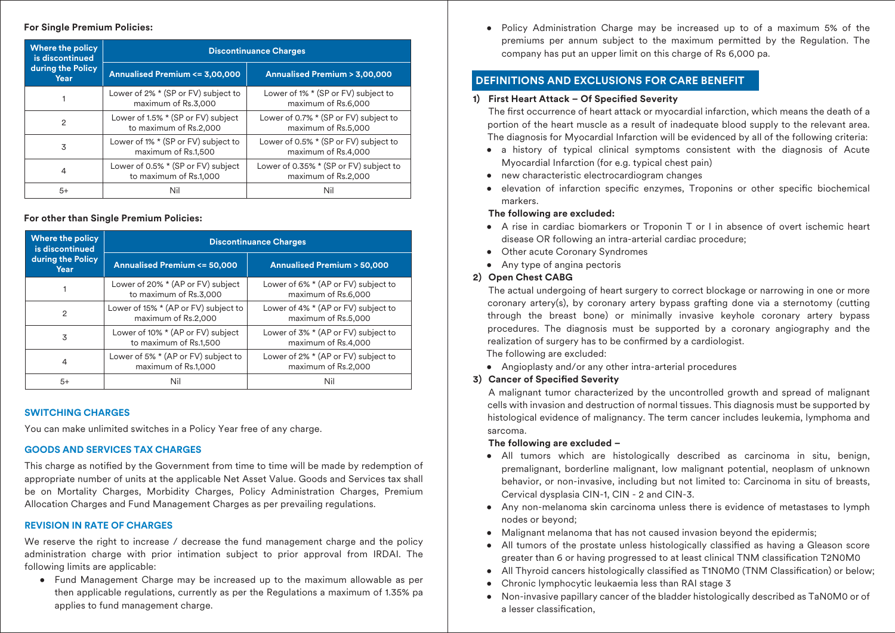#### **For Single Premium Policies:**

| Where the policy<br>is discontinued<br>during the Policy<br>Year | <b>Discontinuance Charges</b>                                |                                                               |  |
|------------------------------------------------------------------|--------------------------------------------------------------|---------------------------------------------------------------|--|
|                                                                  | Annualised Premium <= 3,00,000                               | Annualised Premium > 3,00,000                                 |  |
|                                                                  | Lower of 2% * (SP or FV) subject to<br>maximum of Rs.3,000   | Lower of 1% * (SP or FV) subject to<br>maximum of Rs.6,000    |  |
| $\overline{2}$                                                   | Lower of 1.5% * (SP or FV) subject<br>to maximum of Rs.2,000 | Lower of 0.7% * (SP or FV) subject to<br>maximum of Rs.5,000  |  |
| 3                                                                | Lower of 1% * (SP or FV) subject to<br>maximum of Rs.1,500   | Lower of 0.5% * (SP or FV) subject to<br>maximum of Rs.4,000  |  |
| 4                                                                | Lower of 0.5% * (SP or FV) subject<br>to maximum of Rs.1,000 | Lower of 0.35% * (SP or FV) subject to<br>maximum of Rs.2,000 |  |
| 5+                                                               |                                                              | Nil                                                           |  |

#### **For other than Single Premium Policies:**

| <b>Where the policy</b><br>is discontinued | <b>Discontinuance Charges</b>                               |                                                               |  |
|--------------------------------------------|-------------------------------------------------------------|---------------------------------------------------------------|--|
| during the Policy<br>Year                  | <b>Annualised Premium &lt;= 50,000</b>                      | <b>Annualised Premium &gt; 50,000</b>                         |  |
|                                            | Lower of 20% * (AP or FV) subject<br>to maximum of Rs.3,000 | Lower of 6% * (AP or FV) subject to<br>maximum of Rs.6,000    |  |
| 2                                          | Lower of 15% * (AP or FV) subject to<br>maximum of Rs.2,000 | Lower of 4% * (AP or FV) subject to<br>maximum of Rs.5,000    |  |
| 3                                          | Lower of 10% * (AP or FV) subject<br>to maximum of Rs.1,500 | Lower of 3% * (AP or FV) subject to<br>maximum of Rs.4,000    |  |
| 4                                          | Lower of 5% * (AP or FV) subject to<br>maximum of Rs.1,000  | Lower of $2\%$ * (AP or FV) subject to<br>maximum of Rs.2,000 |  |
| $5+$                                       | Nil                                                         | Nil                                                           |  |

#### **SWITCHING CHARGES**

You can make unlimited switches in a Policy Year free of any charge.

#### **GOODS AND SERVICES TAX CHARGES**

This charge as notified by the Government from time to time will be made by redemption of appropriate number of units at the applicable Net Asset Value. Goods and Services tax shall be on Mortality Charges, Morbidity Charges, Policy Administration Charges, Premium Allocation Charges and Fund Management Charges as per prevailing regulations.

#### **REVISION IN RATE OF CHARGES**

We reserve the right to increase / decrease the fund management charge and the policy administration charge with prior intimation subject to prior approval from IRDAI. The following limits are applicable:

• Fund Management Charge may be increased up to the maximum allowable as per then applicable regulations, currently as per the Regulations a maximum of 1.35% pa applies to fund management charge.

• Policy Administration Charge may be increased up to of a maximum 5% of the premiums per annum subject to the maximum permitted by the Regulation. The company has put an upper limit on this charge of Rs 6,000 pa.

# **DEFINITIONS AND EXCLUSIONS FOR CARE BENEFIT**

#### 1) First Heart Attack - Of Specified Severity

The first occurrence of heart attack or myocardial infarction, which means the death of a portion of the heart muscle as a result of inadequate blood supply to the relevant area. The diagnosis for Myocardial Infarction will be evidenced by all of the following criteria:

- a history of typical clinical symptoms consistent with the diagnosis of Acute Myocardial Infarction (for e.g. typical chest pain)
- new characteristic electrocardiogram changes
- elevation of infarction specific enzymes, Troponins or other specific biochemical markers.

#### **The following are excluded:**

- A rise in cardiac biomarkers or Troponin T or I in absence of overt ischemic heart disease OR following an intra-arterial cardiac procedure;
- Other acute Coronary Syndromes
- Any type of angina pectoris

#### **2) Open Chest CABG**

 The actual undergoing of heart surgery to correct blockage or narrowing in one or more coronary artery(s), by coronary artery bypass grafting done via a sternotomy (cutting through the breast bone) or minimally invasive keyhole coronary artery bypass procedures. The diagnosis must be supported by a coronary angiography and the realization of surgery has to be confirmed by a cardiologist.

The following are excluded:

• Angioplasty and/or any other intra-arterial procedures

## **3) Cancer of Specified Severity**

 A malignant tumor characterized by the uncontrolled growth and spread of malignant cells with invasion and destruction of normal tissues. This diagnosis must be supported by histological evidence of malignancy. The term cancer includes leukemia, lymphoma and sarcoma.

#### **The following are excluded –**

- All tumors which are histologically described as carcinoma in situ, benign, premalignant, borderline malignant, low malignant potential, neoplasm of unknown behavior, or non-invasive, including but not limited to: Carcinoma in situ of breasts, Cervical dysplasia CIN-1, CIN - 2 and CIN-3.
- Any non-melanoma skin carcinoma unless there is evidence of metastases to lymph nodes or beyond;
- Malignant melanoma that has not caused invasion beyond the epidermis:
- All tumors of the prostate unless histologically classified as having a Gleason score greater than 6 or having progressed to at least clinical TNM classification T2N0M0
- All Thyroid cancers histologically classified as T1N0M0 (TNM Classification) or below;
- Chronic lymphocytic leukaemia less than RAI stage 3
- Non-invasive papillary cancer of the bladder histologically described as TaN0M0 or of a lesser classification.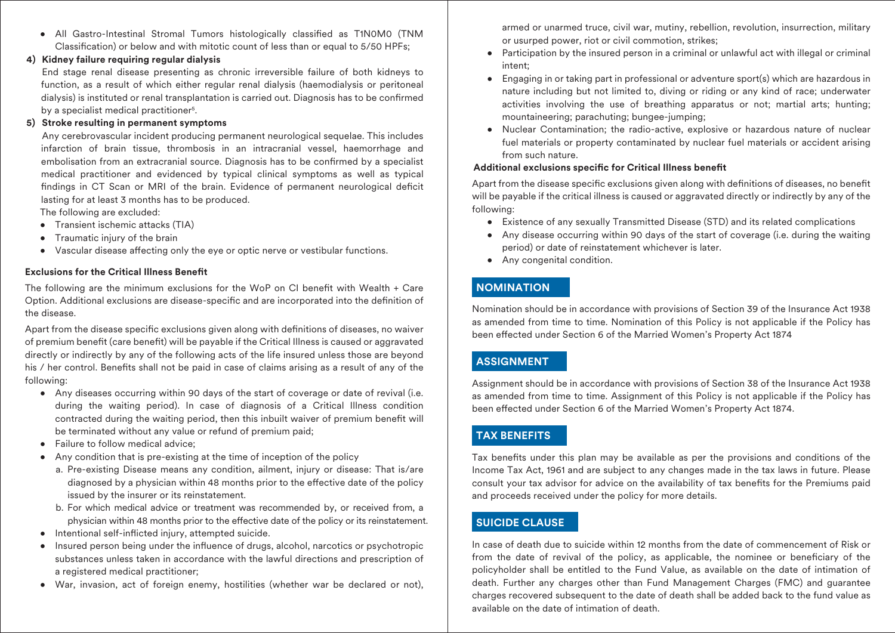• All Gastro-Intestinal Stromal Tumors histologically classified as T1N0M0 (TNM Classification) or below and with mitotic count of less than or equal to 5/50 HPFs;

#### **4) Kidney failure requiring regular dialysis**

 End stage renal disease presenting as chronic irreversible failure of both kidneys to function, as a result of which either regular renal dialysis (haemodialysis or peritoneal dialysis) is instituted or renal transplantation is carried out. Diagnosis has to be confirmed by a specialist medical practitioner5 .

# **5) Stroke resulting in permanent symptoms**

 Any cerebrovascular incident producing permanent neurological sequelae. This includes infarction of brain tissue, thrombosis in an intracranial vessel, haemorrhage and embolisation from an extracranial source. Diagnosis has to be confirmed by a specialist medical practitioner and evidenced by typical clinical symptoms as well as typical findings in CT Scan or MRI of the brain. Evidence of permanent neurological deficit lasting for at least 3 months has to be produced.

The following are excluded:

- Transient ischemic attacks (TIA)
- Traumatic injury of the brain
- Vascular disease affecting only the eye or optic nerve or vestibular functions.

# **Exclusions for the Critical Illness Benet**

The following are the minimum exclusions for the WoP on CI benefit with Wealth  $+$  Care Option. Additional exclusions are disease-specific and are incorporated into the definition of the disease.

Apart from the disease specific exclusions given along with definitions of diseases, no waiver of premium benefit (care benefit) will be payable if the Critical Illness is caused or aggravated directly or indirectly by any of the following acts of the life insured unless those are beyond his / her control. Benefits shall not be paid in case of claims arising as a result of any of the following:

- Any diseases occurring within 90 days of the start of coverage or date of revival (i.e. during the waiting period). In case of diagnosis of a Critical Illness condition contracted during the waiting period, then this inbuilt waiver of premium benefit will be terminated without any value or refund of premium paid;
- Failure to follow medical advice:
- Any condition that is pre-existing at the time of inception of the policy
	- a. Pre-existing Disease means any condition, ailment, injury or disease: That is/are diagnosed by a physician within 48 months prior to the effective date of the policy issued by the insurer or its reinstatement.
	- b. For which medical advice or treatment was recommended by, or received from, a physician within 48 months prior to the effective date of the policy or its reinstatement.
- Intentional self-inflicted injury, attempted suicide.
- $\bullet$  Insured person being under the influence of drugs, alcohol, narcotics or psychotropic substances unless taken in accordance with the lawful directions and prescription of a registered medical practitioner;
- War, invasion, act of foreign enemy, hostilities (whether war be declared or not),

armed or unarmed truce, civil war, mutiny, rebellion, revolution, insurrection, military or usurped power, riot or civil commotion, strikes;

- Participation by the insured person in a criminal or unlawful act with illegal or criminal intent;
- Engaging in or taking part in professional or adventure sport(s) which are hazardous in nature including but not limited to, diving or riding or any kind of race; underwater activities involving the use of breathing apparatus or not; martial arts; hunting; mountaineering; parachuting; bungee-jumping;
- Nuclear Contamination; the radio-active, explosive or hazardous nature of nuclear fuel materials or property contaminated by nuclear fuel materials or accident arising from such nature.

# **Additional exclusions specific for Critical Illness benefit**

Apart from the disease specific exclusions given along with definitions of diseases, no benefit will be payable if the critical illness is caused or aggravated directly or indirectly by any of the following:

- Existence of any sexually Transmitted Disease (STD) and its related complications
- Any disease occurring within 90 days of the start of coverage (i.e. during the waiting period) or date of reinstatement whichever is later.
- Any congenital condition.

# **NOMINATION**

Nomination should be in accordance with provisions of Section 39 of the Insurance Act 1938 as amended from time to time. Nomination of this Policy is not applicable if the Policy has been effected under Section 6 of the Married Women's Property Act 1874

# **ASSIGNMENT**

Assignment should be in accordance with provisions of Section 38 of the Insurance Act 1938 as amended from time to time. Assignment of this Policy is not applicable if the Policy has been effected under Section 6 of the Married Women's Property Act 1874.

# **TAX BENEFITS**

Tax benefits under this plan may be available as per the provisions and conditions of the Income Tax Act, 1961 and are subject to any changes made in the tax laws in future. Please consult your tax advisor for advice on the availability of tax benefits for the Premiums paid and proceeds received under the policy for more details.

# **SUICIDE CLAUSE**

In case of death due to suicide within 12 months from the date of commencement of Risk or from the date of revival of the policy, as applicable, the nominee or beneficiary of the policyholder shall be entitled to the Fund Value, as available on the date of intimation of death. Further any charges other than Fund Management Charges (FMC) and guarantee charges recovered subsequent to the date of death shall be added back to the fund value as available on the date of intimation of death.